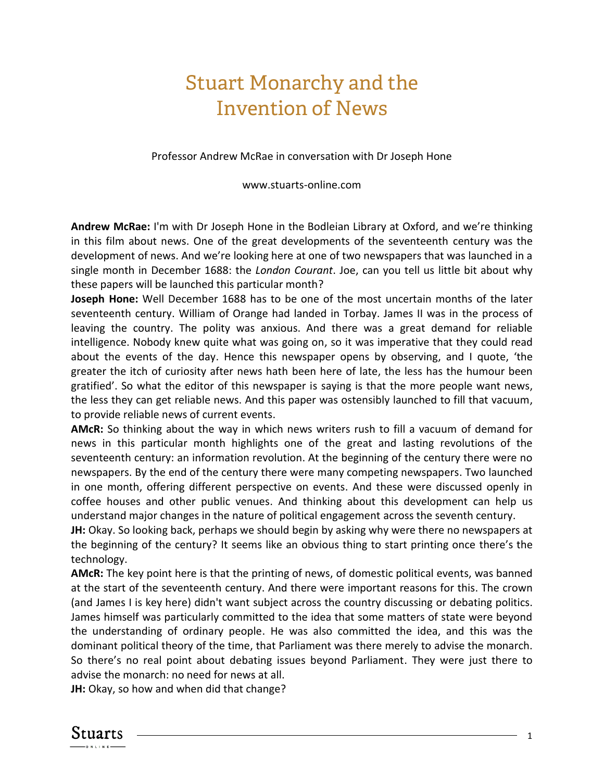## Stuart Monarchy and the Invention of News

Professor Andrew McRae in conversation with Dr Joseph Hone

www.stuarts-online.com

**Andrew McRae:** I'm with Dr Joseph Hone in the Bodleian Library at Oxford, and we're thinking in this film about news. One of the great developments of the seventeenth century was the development of news. And we're looking here at one of two newspapers that was launched in a single month in December 1688: the *London Courant*. Joe, can you tell us little bit about why these papers will be launched this particular month?

**Joseph Hone:** Well December 1688 has to be one of the most uncertain months of the later seventeenth century. William of Orange had landed in Torbay. James II was in the process of leaving the country. The polity was anxious. And there was a great demand for reliable intelligence. Nobody knew quite what was going on, so it was imperative that they could read about the events of the day. Hence this newspaper opens by observing, and I quote, 'the greater the itch of curiosity after news hath been here of late, the less has the humour been gratified'. So what the editor of this newspaper is saying is that the more people want news, the less they can get reliable news. And this paper was ostensibly launched to fill that vacuum, to provide reliable news of current events.

**AMcR:** So thinking about the way in which news writers rush to fill a vacuum of demand for news in this particular month highlights one of the great and lasting revolutions of the seventeenth century: an information revolution. At the beginning of the century there were no newspapers. By the end of the century there were many competing newspapers. Two launched in one month, offering different perspective on events. And these were discussed openly in coffee houses and other public venues. And thinking about this development can help us understand major changes in the nature of political engagement across the seventh century.

**JH:** Okay. So looking back, perhaps we should begin by asking why were there no newspapers at the beginning of the century? It seems like an obvious thing to start printing once there's the technology.

**AMcR:** The key point here is that the printing of news, of domestic political events, was banned at the start of the seventeenth century. And there were important reasons for this. The crown (and James I is key here) didn't want subject across the country discussing or debating politics. James himself was particularly committed to the idea that some matters of state were beyond the understanding of ordinary people. He was also committed the idea, and this was the dominant political theory of the time, that Parliament was there merely to advise the monarch. So there's no real point about debating issues beyond Parliament. They were just there to advise the monarch: no need for news at all.

**JH:** Okay, so how and when did that change?

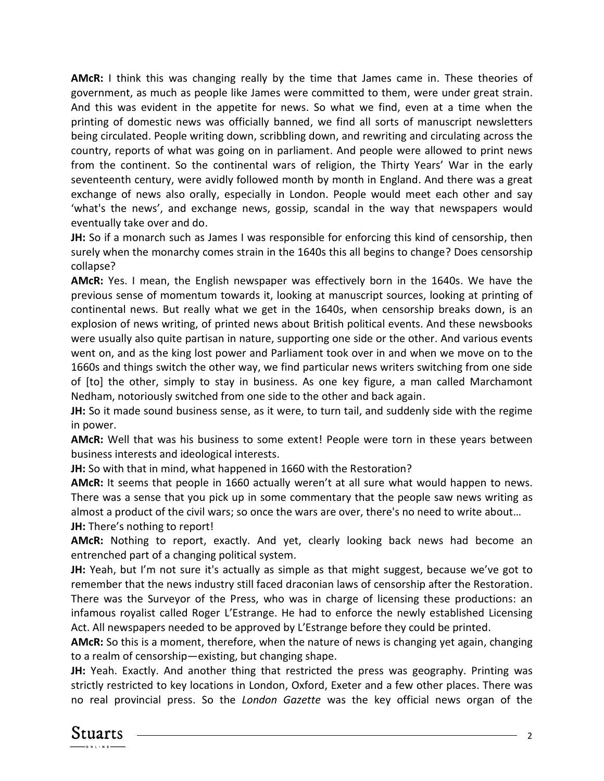**AMcR:** I think this was changing really by the time that James came in. These theories of government, as much as people like James were committed to them, were under great strain. And this was evident in the appetite for news. So what we find, even at a time when the printing of domestic news was officially banned, we find all sorts of manuscript newsletters being circulated. People writing down, scribbling down, and rewriting and circulating across the country, reports of what was going on in parliament. And people were allowed to print news from the continent. So the continental wars of religion, the Thirty Years' War in the early seventeenth century, were avidly followed month by month in England. And there was a great exchange of news also orally, especially in London. People would meet each other and say 'what's the news', and exchange news, gossip, scandal in the way that newspapers would eventually take over and do.

**JH:** So if a monarch such as James I was responsible for enforcing this kind of censorship, then surely when the monarchy comes strain in the 1640s this all begins to change? Does censorship collapse?

**AMcR:** Yes. I mean, the English newspaper was effectively born in the 1640s. We have the previous sense of momentum towards it, looking at manuscript sources, looking at printing of continental news. But really what we get in the 1640s, when censorship breaks down, is an explosion of news writing, of printed news about British political events. And these newsbooks were usually also quite partisan in nature, supporting one side or the other. And various events went on, and as the king lost power and Parliament took over in and when we move on to the 1660s and things switch the other way, we find particular news writers switching from one side of [to] the other, simply to stay in business. As one key figure, a man called Marchamont Nedham, notoriously switched from one side to the other and back again.

**JH:** So it made sound business sense, as it were, to turn tail, and suddenly side with the regime in power.

**AMcR:** Well that was his business to some extent! People were torn in these years between business interests and ideological interests.

**JH:** So with that in mind, what happened in 1660 with the Restoration?

**AMcR:** It seems that people in 1660 actually weren't at all sure what would happen to news. There was a sense that you pick up in some commentary that the people saw news writing as almost a product of the civil wars; so once the wars are over, there's no need to write about… **JH:** There's nothing to report!

**AMcR:** Nothing to report, exactly. And yet, clearly looking back news had become an entrenched part of a changing political system.

**JH:** Yeah, but I'm not sure it's actually as simple as that might suggest, because we've got to remember that the news industry still faced draconian laws of censorship after the Restoration. There was the Surveyor of the Press, who was in charge of licensing these productions: an infamous royalist called Roger L'Estrange. He had to enforce the newly established Licensing Act. All newspapers needed to be approved by L'Estrange before they could be printed.

**AMcR:** So this is a moment, therefore, when the nature of news is changing yet again, changing to a realm of censorship—existing, but changing shape.

**JH:** Yeah. Exactly. And another thing that restricted the press was geography. Printing was strictly restricted to key locations in London, Oxford, Exeter and a few other places. There was no real provincial press. So the *London Gazette* was the key official news organ of the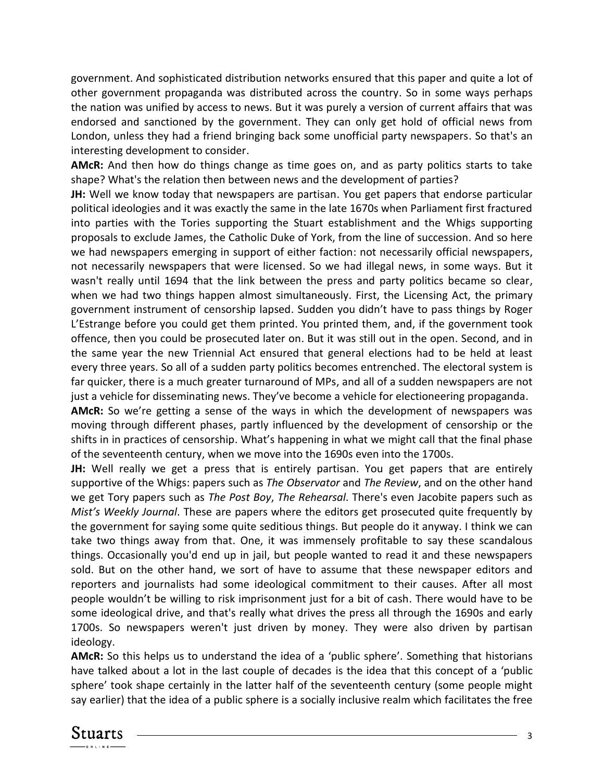government. And sophisticated distribution networks ensured that this paper and quite a lot of other government propaganda was distributed across the country. So in some ways perhaps the nation was unified by access to news. But it was purely a version of current affairs that was endorsed and sanctioned by the government. They can only get hold of official news from London, unless they had a friend bringing back some unofficial party newspapers. So that's an interesting development to consider.

**AMcR:** And then how do things change as time goes on, and as party politics starts to take shape? What's the relation then between news and the development of parties?

**JH:** Well we know today that newspapers are partisan. You get papers that endorse particular political ideologies and it was exactly the same in the late 1670s when Parliament first fractured into parties with the Tories supporting the Stuart establishment and the Whigs supporting proposals to exclude James, the Catholic Duke of York, from the line of succession. And so here we had newspapers emerging in support of either faction: not necessarily official newspapers, not necessarily newspapers that were licensed. So we had illegal news, in some ways. But it wasn't really until 1694 that the link between the press and party politics became so clear, when we had two things happen almost simultaneously. First, the Licensing Act, the primary government instrument of censorship lapsed. Sudden you didn't have to pass things by Roger L'Estrange before you could get them printed. You printed them, and, if the government took offence, then you could be prosecuted later on. But it was still out in the open. Second, and in the same year the new Triennial Act ensured that general elections had to be held at least every three years. So all of a sudden party politics becomes entrenched. The electoral system is far quicker, there is a much greater turnaround of MPs, and all of a sudden newspapers are not just a vehicle for disseminating news. They've become a vehicle for electioneering propaganda.

**AMcR:** So we're getting a sense of the ways in which the development of newspapers was moving through different phases, partly influenced by the development of censorship or the shifts in in practices of censorship. What's happening in what we might call that the final phase of the seventeenth century, when we move into the 1690s even into the 1700s.

**JH:** Well really we get a press that is entirely partisan. You get papers that are entirely supportive of the Whigs: papers such as *The Observator* and *The Review*, and on the other hand we get Tory papers such as *The Post Boy*, *The Rehearsal*. There's even Jacobite papers such as *Mist's Weekly Journal*. These are papers where the editors get prosecuted quite frequently by the government for saying some quite seditious things. But people do it anyway. I think we can take two things away from that. One, it was immensely profitable to say these scandalous things. Occasionally you'd end up in jail, but people wanted to read it and these newspapers sold. But on the other hand, we sort of have to assume that these newspaper editors and reporters and journalists had some ideological commitment to their causes. After all most people wouldn't be willing to risk imprisonment just for a bit of cash. There would have to be some ideological drive, and that's really what drives the press all through the 1690s and early 1700s. So newspapers weren't just driven by money. They were also driven by partisan ideology.

**AMcR:** So this helps us to understand the idea of a 'public sphere'. Something that historians have talked about a lot in the last couple of decades is the idea that this concept of a 'public sphere' took shape certainly in the latter half of the seventeenth century (some people might say earlier) that the idea of a public sphere is a socially inclusive realm which facilitates the free